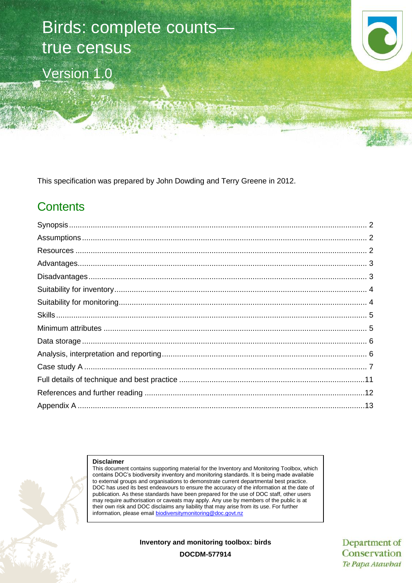

This specification was prepared by John Dowding and Terry Greene in 2012.

# **Contents**

#### **Disclaimer**

This document contains supporting material for the Inventory and Monitoring Toolbox, which contains DOC's biodiversity inventory and monitoring standards. It is being made available to external groups and organisations to demonstrate current departmental best practice. DOC has used its best endeavours to ensure the accuracy of the information at the date of publication. As these standards have been prepared for the use of DOC staff, other users may require authorisation or caveats may apply. Any use by members of the public is at their own risk and DOC disclaims any liability that may arise from its use. For further information, please email [biodiversitymonitoring@doc.govt.nz](mailto:biodiversitymonitoring@doc.govt.nz)

**Inventory and monitoring toolbox: birds**

Department of Conservation Te Papa Atawhai

**DOCDM-577914**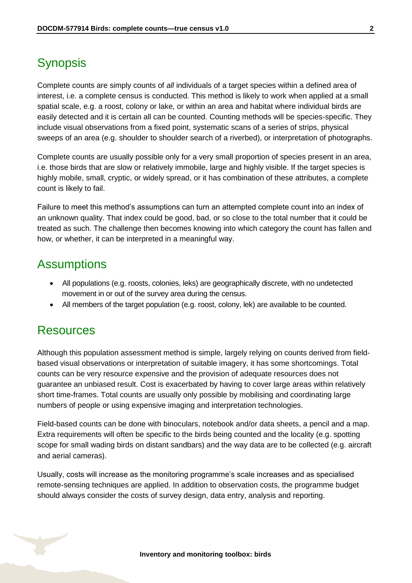# <span id="page-1-0"></span>**Synopsis**

Complete counts are simply counts of *all* individuals of a target species within a defined area of interest, i.e. a complete census is conducted. This method is likely to work when applied at a small spatial scale, e.g. a roost, colony or lake, or within an area and habitat where individual birds are easily detected and it is certain all can be counted. Counting methods will be species-specific. They include visual observations from a fixed point, systematic scans of a series of strips, physical sweeps of an area (e.g. shoulder to shoulder search of a riverbed), or interpretation of photographs.

Complete counts are usually possible only for a very small proportion of species present in an area, i.e. those birds that are slow or relatively immobile, large and highly visible. If the target species is highly mobile, small, cryptic, or widely spread, or it has combination of these attributes, a complete count is likely to fail.

Failure to meet this method's assumptions can turn an attempted complete count into an index of an unknown quality. That index could be good, bad, or so close to the total number that it could be treated as such. The challenge then becomes knowing into which category the count has fallen and how, or whether, it can be interpreted in a meaningful way.

## <span id="page-1-1"></span>**Assumptions**

- All populations (e.g. roosts, colonies, leks) are geographically discrete, with no undetected movement in or out of the survey area during the census.
- All members of the target population (e.g. roost, colony, lek) are available to be counted.

### <span id="page-1-2"></span>**Resources**

Although this population assessment method is simple, largely relying on counts derived from fieldbased visual observations or interpretation of suitable imagery, it has some shortcomings. Total counts can be very resource expensive and the provision of adequate resources does not guarantee an unbiased result. Cost is exacerbated by having to cover large areas within relatively short time-frames. Total counts are usually only possible by mobilising and coordinating large numbers of people or using expensive imaging and interpretation technologies.

Field-based counts can be done with binoculars, notebook and/or data sheets, a pencil and a map. Extra requirements will often be specific to the birds being counted and the locality (e.g. spotting scope for small wading birds on distant sandbars) and the way data are to be collected (e.g. aircraft and aerial cameras).

Usually, costs will increase as the monitoring programme's scale increases and as specialised remote-sensing techniques are applied. In addition to observation costs, the programme budget should always consider the costs of survey design, data entry, analysis and reporting.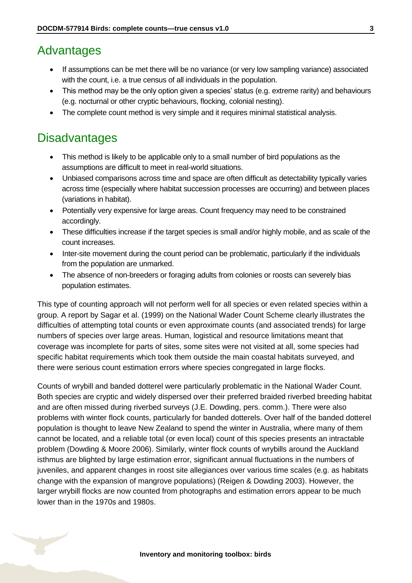### <span id="page-2-0"></span>Advantages

- If assumptions can be met there will be no variance (or very low sampling variance) associated with the count, i.e. a true census of all individuals in the population.
- This method may be the only option given a species' status (e.g. extreme rarity) and behaviours (e.g. nocturnal or other cryptic behaviours, flocking, colonial nesting).
- The complete count method is very simple and it requires minimal statistical analysis.

## <span id="page-2-1"></span>**Disadvantages**

- This method is likely to be applicable only to a small number of bird populations as the assumptions are difficult to meet in real-world situations.
- Unbiased comparisons across time and space are often difficult as detectability typically varies across time (especially where habitat succession processes are occurring) and between places (variations in habitat).
- Potentially very expensive for large areas. Count frequency may need to be constrained accordingly.
- These difficulties increase if the target species is small and/or highly mobile, and as scale of the count increases.
- Inter-site movement during the count period can be problematic, particularly if the individuals from the population are unmarked.
- The absence of non-breeders or foraging adults from colonies or roosts can severely bias population estimates.

This type of counting approach will not perform well for all species or even related species within a group. A report by Sagar et al. (1999) on the National Wader Count Scheme clearly illustrates the difficulties of attempting total counts or even approximate counts (and associated trends) for large numbers of species over large areas. Human, logistical and resource limitations meant that coverage was incomplete for parts of sites, some sites were not visited at all, some species had specific habitat requirements which took them outside the main coastal habitats surveyed, and there were serious count estimation errors where species congregated in large flocks.

Counts of wrybill and banded dotterel were particularly problematic in the National Wader Count. Both species are cryptic and widely dispersed over their preferred braided riverbed breeding habitat and are often missed during riverbed surveys (J.E. Dowding, pers. comm.). There were also problems with winter flock counts, particularly for banded dotterels. Over half of the banded dotterel population is thought to leave New Zealand to spend the winter in Australia, where many of them cannot be located, and a reliable total (or even local) count of this species presents an intractable problem (Dowding & Moore 2006). Similarly, winter flock counts of wrybills around the Auckland isthmus are blighted by large estimation error, significant annual fluctuations in the numbers of juveniles, and apparent changes in roost site allegiances over various time scales (e.g. as habitats change with the expansion of mangrove populations) (Reigen & Dowding 2003). However, the larger wrybill flocks are now counted from photographs and estimation errors appear to be much lower than in the 1970s and 1980s.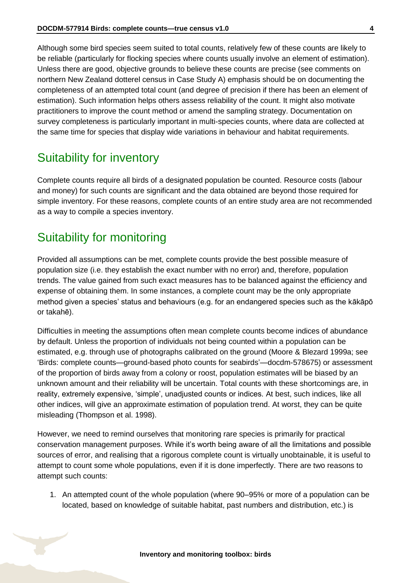Although some bird species seem suited to total counts, relatively few of these counts are likely to be reliable (particularly for flocking species where counts usually involve an element of estimation). Unless there are good, objective grounds to believe these counts are precise (see comments on northern New Zealand dotterel census in Case Study A) emphasis should be on documenting the completeness of an attempted total count (and degree of precision if there has been an element of estimation). Such information helps others assess reliability of the count. It might also motivate practitioners to improve the count method or amend the sampling strategy. Documentation on survey completeness is particularly important in multi-species counts, where data are collected at the same time for species that display wide variations in behaviour and habitat requirements.

### <span id="page-3-0"></span>Suitability for inventory

Complete counts require all birds of a designated population be counted. Resource costs (labour and money) for such counts are significant and the data obtained are beyond those required for simple inventory. For these reasons, complete counts of an entire study area are not recommended as a way to compile a species inventory.

### <span id="page-3-1"></span>Suitability for monitoring

Provided all assumptions can be met, complete counts provide the best possible measure of population size (i.e. they establish the exact number with no error) and, therefore, population trends. The value gained from such exact measures has to be balanced against the efficiency and expense of obtaining them. In some instances, a complete count may be the only appropriate method given a species' status and behaviours (e.g. for an endangered species such as the kākāpō or takahē).

Difficulties in meeting the assumptions often mean complete counts become indices of abundance by default. Unless the proportion of individuals not being counted within a population can be estimated, e.g. through use of photographs calibrated on the ground (Moore & Blezard 1999a; see 'Birds: complete counts—ground-based photo counts for seabirds'—docdm-578675) or assessment of the proportion of birds away from a colony or roost, population estimates will be biased by an unknown amount and their reliability will be uncertain. Total counts with these shortcomings are, in reality, extremely expensive, 'simple', unadjusted counts or indices. At best, such indices, like all other indices, will give an approximate estimation of population trend. At worst, they can be quite misleading (Thompson et al. 1998).

However, we need to remind ourselves that monitoring rare species is primarily for practical conservation management purposes. While it's worth being aware of all the limitations and possible sources of error, and realising that a rigorous complete count is virtually unobtainable, it is useful to attempt to count some whole populations, even if it is done imperfectly. There are two reasons to attempt such counts:

1. An attempted count of the whole population (where 90–95% or more of a population can be located, based on knowledge of suitable habitat, past numbers and distribution, etc.) is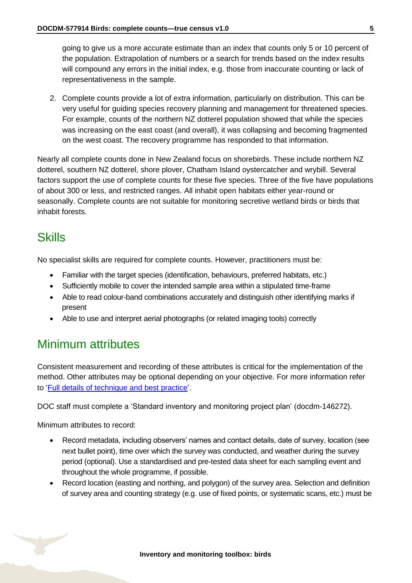going to give us a more accurate estimate than an index that counts only 5 or 10 percent of the population. Extrapolation of numbers or a search for trends based on the index results will compound any errors in the initial index, e.g. those from inaccurate counting or lack of representativeness in the sample.

2. Complete counts provide a lot of extra information, particularly on distribution. This can be very useful for guiding species recovery planning and management for threatened species. For example, counts of the northern NZ dotterel population showed that while the species was increasing on the east coast (and overall), it was collapsing and becoming fragmented on the west coast. The recovery programme has responded to that information.

Nearly all complete counts done in New Zealand focus on shorebirds. These include northern NZ dotterel, southern NZ dotterel, shore plover, Chatham Island oystercatcher and wrybill. Several factors support the use of complete counts for these five species. Three of the five have populations of about 300 or less, and restricted ranges. All inhabit open habitats either year-round or seasonally. Complete counts are not suitable for monitoring secretive wetland birds or birds that inhabit forests.

### <span id="page-4-0"></span>**Skills**

No specialist skills are required for complete counts. However, practitioners must be:

- Familiar with the target species (identification, behaviours, preferred habitats, etc.)
- Sufficiently mobile to cover the intended sample area within a stipulated time-frame
- Able to read colour-band combinations accurately and distinguish other identifying marks if present
- Able to use and interpret aerial photographs (or related imaging tools) correctly

## <span id="page-4-1"></span>Minimum attributes

Consistent measurement and recording of these attributes is critical for the implementation of the method. Other attributes may be optional depending on your objective. For more information refer to ['Full details of technique and best practice'](#page-10-0).

DOC staff must complete a 'Standard inventory and monitoring project plan' (docdm-146272).

Minimum attributes to record:

- Record metadata, including observers' names and contact details, date of survey, location (see next bullet point), time over which the survey was conducted, and weather during the survey period (optional). Use a standardised and pre-tested data sheet for each sampling event and throughout the whole programme, if possible.
- Record location (easting and northing, and polygon) of the survey area. Selection and definition of survey area and counting strategy (e.g. use of fixed points, or systematic scans, etc.) must be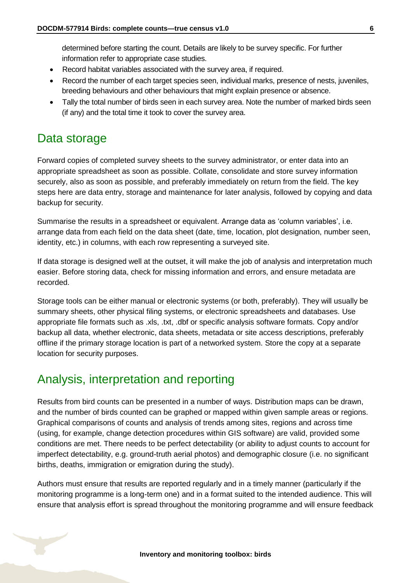determined before starting the count. Details are likely to be survey specific. For further information refer to appropriate case studies.

- Record habitat variables associated with the survey area, if required.
- Record the number of each target species seen, individual marks, presence of nests, juveniles, breeding behaviours and other behaviours that might explain presence or absence.
- Tally the total number of birds seen in each survey area. Note the number of marked birds seen (if any) and the total time it took to cover the survey area.

## <span id="page-5-0"></span>Data storage

Forward copies of completed survey sheets to the survey administrator, or enter data into an appropriate spreadsheet as soon as possible. Collate, consolidate and store survey information securely, also as soon as possible, and preferably immediately on return from the field. The key steps here are data entry, storage and maintenance for later analysis, followed by copying and data backup for security.

Summarise the results in a spreadsheet or equivalent. Arrange data as 'column variables', i.e. arrange data from each field on the data sheet (date, time, location, plot designation, number seen, identity, etc.) in columns, with each row representing a surveyed site.

If data storage is designed well at the outset, it will make the job of analysis and interpretation much easier. Before storing data, check for missing information and errors, and ensure metadata are recorded.

Storage tools can be either manual or electronic systems (or both, preferably). They will usually be summary sheets, other physical filing systems, or electronic spreadsheets and databases. Use appropriate file formats such as .xls, .txt, .dbf or specific analysis software formats. Copy and/or backup all data, whether electronic, data sheets, metadata or site access descriptions, preferably offline if the primary storage location is part of a networked system. Store the copy at a separate location for security purposes.

## <span id="page-5-1"></span>Analysis, interpretation and reporting

Results from bird counts can be presented in a number of ways. Distribution maps can be drawn, and the number of birds counted can be graphed or mapped within given sample areas or regions. Graphical comparisons of counts and analysis of trends among sites, regions and across time (using, for example, change detection procedures within GIS software) are valid, provided some conditions are met. There needs to be perfect detectability (or ability to adjust counts to account for imperfect detectability, e.g. ground-truth aerial photos) and demographic closure (i.e. no significant births, deaths, immigration or emigration during the study).

Authors must ensure that results are reported regularly and in a timely manner (particularly if the monitoring programme is a long-term one) and in a format suited to the intended audience. This will ensure that analysis effort is spread throughout the monitoring programme and will ensure feedback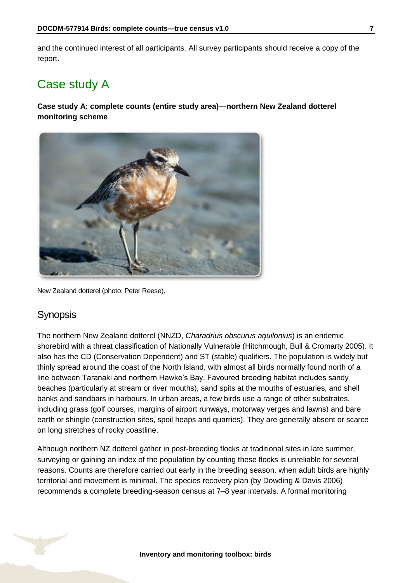and the continued interest of all participants. All survey participants should receive a copy of the report.

### <span id="page-6-0"></span>Case study A

### **Case study A: complete counts (entire study area)—northern New Zealand dotterel monitoring scheme**



New Zealand dotterel (photo: Peter Reese).

### **Synopsis**

The northern New Zealand dotterel (NNZD, *Charadrius obscurus aquilonius*) is an endemic shorebird with a threat classification of Nationally Vulnerable (Hitchmough, Bull & Cromarty 2005). It also has the CD (Conservation Dependent) and ST (stable) qualifiers. The population is widely but thinly spread around the coast of the North Island, with almost all birds normally found north of a line between Taranaki and northern Hawke's Bay. Favoured breeding habitat includes sandy beaches (particularly at stream or river mouths), sand spits at the mouths of estuaries, and shell banks and sandbars in harbours. In urban areas, a few birds use a range of other substrates, including grass (golf courses, margins of airport runways, motorway verges and lawns) and bare earth or shingle (construction sites, spoil heaps and quarries). They are generally absent or scarce on long stretches of rocky coastline.

Although northern NZ dotterel gather in post-breeding flocks at traditional sites in late summer, surveying or gaining an index of the population by counting these flocks is unreliable for several reasons. Counts are therefore carried out early in the breeding season, when adult birds are highly territorial and movement is minimal. The species recovery plan (by Dowding & Davis 2006) recommends a complete breeding-season census at 7–8 year intervals. A formal monitoring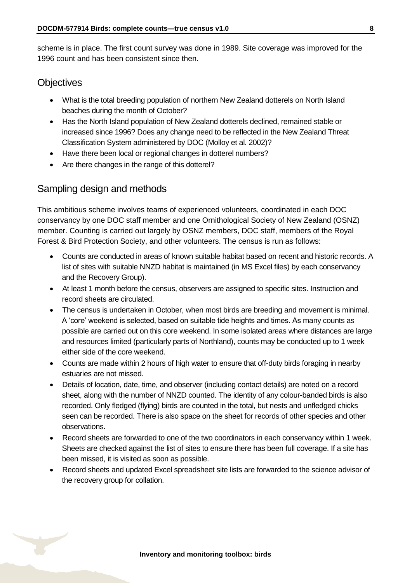scheme is in place. The first count survey was done in 1989. Site coverage was improved for the 1996 count and has been consistent since then.

### **Objectives**

- What is the total breeding population of northern New Zealand dotterels on North Island beaches during the month of October?
- Has the North Island population of New Zealand dotterels declined, remained stable or increased since 1996? Does any change need to be reflected in the New Zealand Threat Classification System administered by DOC (Molloy et al. 2002)?
- Have there been local or regional changes in dotterel numbers?
- Are there changes in the range of this dotterel?

### Sampling design and methods

This ambitious scheme involves teams of experienced volunteers, coordinated in each DOC conservancy by one DOC staff member and one Ornithological Society of New Zealand (OSNZ) member. Counting is carried out largely by OSNZ members, DOC staff, members of the Royal Forest & Bird Protection Society, and other volunteers. The census is run as follows:

- Counts are conducted in areas of known suitable habitat based on recent and historic records. A list of sites with suitable NNZD habitat is maintained (in MS Excel files) by each conservancy and the Recovery Group).
- At least 1 month before the census, observers are assigned to specific sites. Instruction and record sheets are circulated.
- The census is undertaken in October, when most birds are breeding and movement is minimal. A 'core' weekend is selected, based on suitable tide heights and times. As many counts as possible are carried out on this core weekend. In some isolated areas where distances are large and resources limited (particularly parts of Northland), counts may be conducted up to 1 week either side of the core weekend.
- Counts are made within 2 hours of high water to ensure that off-duty birds foraging in nearby estuaries are not missed.
- Details of location, date, time, and observer (including contact details) are noted on a record sheet, along with the number of NNZD counted. The identity of any colour-banded birds is also recorded. Only fledged (flying) birds are counted in the total, but nests and unfledged chicks seen can be recorded. There is also space on the sheet for records of other species and other observations.
- Record sheets are forwarded to one of the two coordinators in each conservancy within 1 week. Sheets are checked against the list of sites to ensure there has been full coverage. If a site has been missed, it is visited as soon as possible.
- Record sheets and updated Excel spreadsheet site lists are forwarded to the science advisor of the recovery group for collation.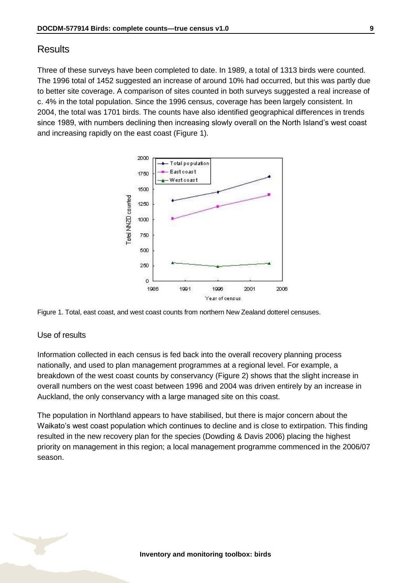### **Results**

Three of these surveys have been completed to date. In 1989, a total of 1313 birds were counted. The 1996 total of 1452 suggested an increase of around 10% had occurred, but this was partly due to better site coverage. A comparison of sites counted in both surveys suggested a real increase of c. 4% in the total population. Since the 1996 census, coverage has been largely consistent. In 2004, the total was 1701 birds. The counts have also identified geographical differences in trends since 1989, with numbers declining then increasing slowly overall on the North Island's west coast and increasing rapidly on the east coast (Figure 1).





#### Use of results

Information collected in each census is fed back into the overall recovery planning process nationally, and used to plan management programmes at a regional level. For example, a breakdown of the west coast counts by conservancy (Figure 2) shows that the slight increase in overall numbers on the west coast between 1996 and 2004 was driven entirely by an increase in Auckland, the only conservancy with a large managed site on this coast.

The population in Northland appears to have stabilised, but there is major concern about the Waikato's west coast population which continues to decline and is close to extirpation. This finding resulted in the new recovery plan for the species (Dowding & Davis 2006) placing the highest priority on management in this region; a local management programme commenced in the 2006/07 season.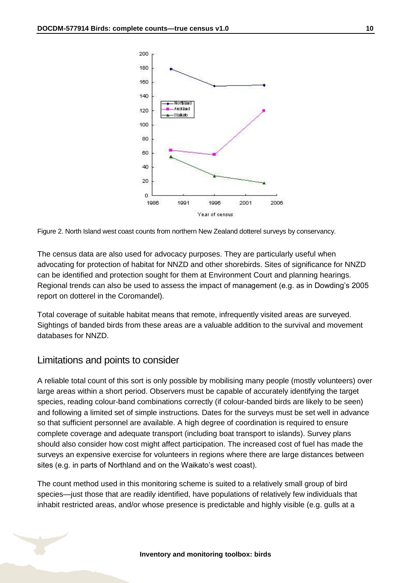

Figure 2. North Island west coast counts from northern New Zealand dotterel surveys by conservancy.

The census data are also used for advocacy purposes. They are particularly useful when advocating for protection of habitat for NNZD and other shorebirds. Sites of significance for NNZD can be identified and protection sought for them at Environment Court and planning hearings. Regional trends can also be used to assess the impact of management (e.g. as in Dowding's 2005 report on dotterel in the Coromandel).

Total coverage of suitable habitat means that remote, infrequently visited areas are surveyed. Sightings of banded birds from these areas are a valuable addition to the survival and movement databases for NNZD.

### Limitations and points to consider

A reliable total count of this sort is only possible by mobilising many people (mostly volunteers) over large areas within a short period. Observers must be capable of accurately identifying the target species, reading colour-band combinations correctly (if colour-banded birds are likely to be seen) and following a limited set of simple instructions. Dates for the surveys must be set well in advance so that sufficient personnel are available. A high degree of coordination is required to ensure complete coverage and adequate transport (including boat transport to islands). Survey plans should also consider how cost might affect participation. The increased cost of fuel has made the surveys an expensive exercise for volunteers in regions where there are large distances between sites (e.g. in parts of Northland and on the Waikato's west coast).

The count method used in this monitoring scheme is suited to a relatively small group of bird species—just those that are readily identified, have populations of relatively few individuals that inhabit restricted areas, and/or whose presence is predictable and highly visible (e.g. gulls at a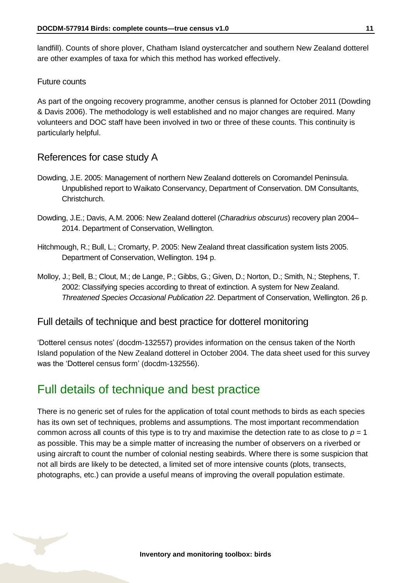landfill). Counts of shore plover, Chatham Island oystercatcher and southern New Zealand dotterel are other examples of taxa for which this method has worked effectively.

### Future counts

As part of the ongoing recovery programme, another census is planned for October 2011 (Dowding & Davis 2006). The methodology is well established and no major changes are required. Many volunteers and DOC staff have been involved in two or three of these counts. This continuity is particularly helpful.

### References for case study A

- Dowding, J.E. 2005: Management of northern New Zealand dotterels on Coromandel Peninsula. Unpublished report to Waikato Conservancy, Department of Conservation. DM Consultants, Christchurch.
- Dowding, J.E.; Davis, A.M. 2006: New Zealand dotterel (*Charadrius obscurus*) recovery plan 2004– 2014. Department of Conservation, Wellington.
- Hitchmough, R.; Bull, L.; Cromarty, P. 2005: New Zealand threat classification system lists 2005. Department of Conservation, Wellington. 194 p.
- Molloy, J.; Bell, B.; Clout, M.; de Lange, P.; Gibbs, G.; Given, D.; Norton, D.; Smith, N.; Stephens, T. 2002: Classifying species according to threat of extinction. A system for New Zealand. *Threatened Species Occasional Publication 22*. Department of Conservation, Wellington. 26 p.

### Full details of technique and best practice for dotterel monitoring

'Dotterel census notes' (docdm-132557) provides information on the census taken of the North Island population of the New Zealand dotterel in October 2004. The data sheet used for this survey was the 'Dotterel census form' (docdm-132556).

### <span id="page-10-0"></span>Full details of technique and best practice

There is no generic set of rules for the application of total count methods to birds as each species has its own set of techniques, problems and assumptions. The most important recommendation common across all counts of this type is to try and maximise the detection rate to as close to  $p = 1$ as possible. This may be a simple matter of increasing the number of observers on a riverbed or using aircraft to count the number of colonial nesting seabirds. Where there is some suspicion that not all birds are likely to be detected, a limited set of more intensive counts (plots, transects, photographs, etc.) can provide a useful means of improving the overall population estimate.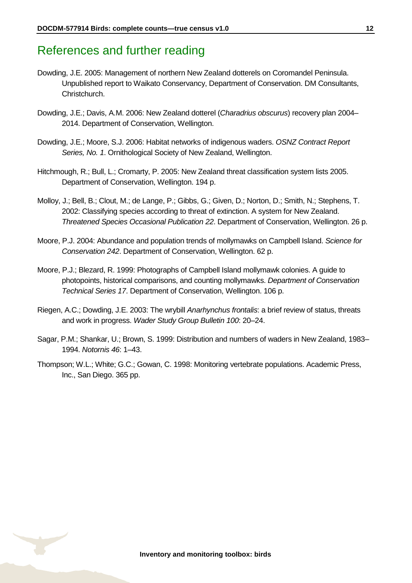### <span id="page-11-0"></span>References and further reading

- Dowding, J.E. 2005: Management of northern New Zealand dotterels on Coromandel Peninsula. Unpublished report to Waikato Conservancy, Department of Conservation. DM Consultants, Christchurch.
- Dowding, J.E.; Davis, A.M. 2006: New Zealand dotterel (*Charadrius obscurus*) recovery plan 2004– 2014. Department of Conservation, Wellington.
- Dowding, J.E.; Moore, S.J. 2006: Habitat networks of indigenous waders. *OSNZ Contract Report Series, No. 1*. Ornithological Society of New Zealand, Wellington.
- Hitchmough, R.; Bull, L.; Cromarty, P. 2005: New Zealand threat classification system lists 2005. Department of Conservation, Wellington. 194 p.
- Molloy, J.; Bell, B.; Clout, M.; de Lange, P.; Gibbs, G.; Given, D.; Norton, D.; Smith, N.; Stephens, T. 2002: Classifying species according to threat of extinction. A system for New Zealand. *Threatened Species Occasional Publication 22*. Department of Conservation, Wellington. 26 p.
- Moore, P.J. 2004: Abundance and population trends of mollymawks on Campbell Island. *Science for Conservation 242*. Department of Conservation, Wellington. 62 p.
- Moore, P.J.; Blezard, R. 1999: Photographs of Campbell Island mollymawk colonies. A guide to photopoints, historical comparisons, and counting mollymawks. *Department of Conservation Technical Series 17*. Department of Conservation, Wellington. 106 p.
- Riegen, A.C.; Dowding, J.E. 2003: The wrybill *Anarhynchus frontalis*: a brief review of status, threats and work in progress. *Wader Study Group Bulletin 100*: 20–24.
- Sagar, P.M.; Shankar, U.; Brown, S. 1999: Distribution and numbers of waders in New Zealand, 1983– 1994. *Notornis 46*: 1–43.
- Thompson; W.L.; White; G.C.; Gowan, C. 1998: Monitoring vertebrate populations. Academic Press, Inc., San Diego. 365 pp.